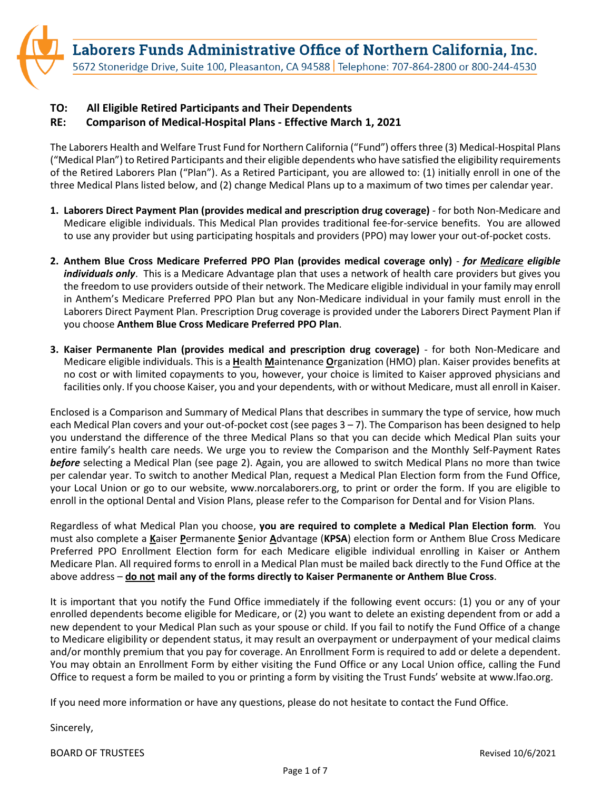Laborers Funds Administrative Office of Northern California, Inc.

5672 Stoneridge Drive, Suite 100, Pleasanton, CA 94588 | Telephone: 707-864-2800 or 800-244-4530

## **TO: All Eligible Retired Participants and Their Dependents**

## **RE: Comparison of Medical-Hospital Plans - Effective March 1, 2021**

The Laborers Health and Welfare Trust Fund for Northern California ("Fund") offers three (3) Medical-Hospital Plans ("Medical Plan") to Retired Participants and their eligible dependents who have satisfied the eligibility requirements of the Retired Laborers Plan ("Plan"). As a Retired Participant, you are allowed to: (1) initially enroll in one of the three Medical Plans listed below, and (2) change Medical Plans up to a maximum of two times per calendar year.

- **1. Laborers Direct Payment Plan (provides medical and prescription drug coverage)**  for both Non-Medicare and Medicare eligible individuals. This Medical Plan provides traditional fee-for-service benefits. You are allowed to use any provider but using participating hospitals and providers (PPO) may lower your out-of-pocket costs.
- **2. Anthem Blue Cross Medicare Preferred PPO Plan (provides medical coverage only)** *for Medicare eligible individuals only*. This is a Medicare Advantage plan that uses a network of health care providers but gives you the freedom to use providers outside of their network. The Medicare eligible individual in your family may enroll in Anthem's Medicare Preferred PPO Plan but any Non-Medicare individual in your family must enroll in the Laborers Direct Payment Plan. Prescription Drug coverage is provided under the Laborers Direct Payment Plan if you choose **Anthem Blue Cross Medicare Preferred PPO Plan**.
- **3. Kaiser Permanente Plan (provides medical and prescription drug coverage)** for both Non-Medicare and Medicare eligible individuals. This is a **H**ealth **M**aintenance **O**rganization (HMO) plan. Kaiser provides benefits at no cost or with limited copayments to you, however, your choice is limited to Kaiser approved physicians and facilities only. If you choose Kaiser, you and your dependents, with or without Medicare, must all enroll in Kaiser.

Enclosed is a Comparison and Summary of Medical Plans that describes in summary the type of service, how much each Medical Plan covers and your out-of-pocket cost (see pages 3 – 7). The Comparison has been designed to help you understand the difference of the three Medical Plans so that you can decide which Medical Plan suits your entire family's health care needs. We urge you to review the Comparison and the Monthly Self-Payment Rates *before* selecting a Medical Plan (see page 2). Again, you are allowed to switch Medical Plans no more than twice per calendar year. To switch to another Medical Plan, request a Medical Plan Election form from the Fund Office, your Local Union or go to our website, www.norcalaborers.org, to print or order the form. If you are eligible to enroll in the optional Dental and Vision Plans, please refer to the Comparison for Dental and for Vision Plans.

Regardless of what Medical Plan you choose, **you are required to complete a Medical Plan Election form***.* You must also complete a **K**aiser **P**ermanente **S**enior **A**dvantage (**KPSA**) election form or Anthem Blue Cross Medicare Preferred PPO Enrollment Election form for each Medicare eligible individual enrolling in Kaiser or Anthem Medicare Plan. All required forms to enroll in a Medical Plan must be mailed back directly to the Fund Office at the above address – **do not mail any of the forms directly to Kaiser Permanente or Anthem Blue Cross**.

It is important that you notify the Fund Office immediately if the following event occurs: (1) you or any of your enrolled dependents become eligible for Medicare, or (2) you want to delete an existing dependent from or add a new dependent to your Medical Plan such as your spouse or child. If you fail to notify the Fund Office of a change to Medicare eligibility or dependent status, it may result an overpayment or underpayment of your medical claims and/or monthly premium that you pay for coverage. An Enrollment Form is required to add or delete a dependent. You may obtain an Enrollment Form by either visiting the Fund Office or any Local Union office, calling the Fund Office to request a form be mailed to you or printing a form by visiting the Trust Funds' website at www.lfao.org.

If you need more information or have any questions, please do not hesitate to contact the Fund Office.

Sincerely,

BOARD OF TRUSTEES Revised 10/6/2021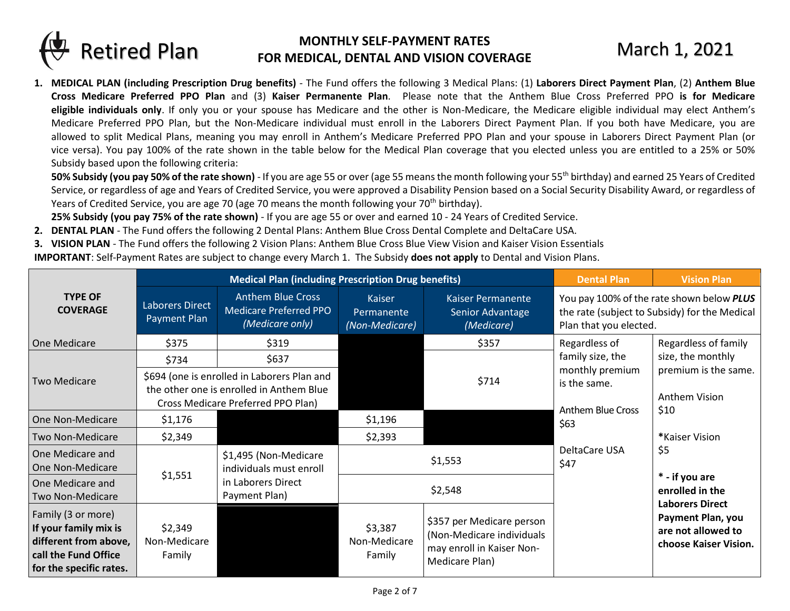

## **MONTHLY SELF-PAYMENT RATES FOR MEDICAL, DENTAL AND VISION COVERAGE** March 1, 2021

**1. MEDICAL PLAN (including Prescription Drug benefits)** - The Fund offers the following 3 Medical Plans: (1) **Laborers Direct Payment Plan**, (2) **Anthem Blue Cross Medicare Preferred PPO Plan** and (3) **Kaiser Permanente Plan**. Please note that the Anthem Blue Cross Preferred PPO **is for Medicare eligible individuals only**. If only you or your spouse has Medicare and the other is Non-Medicare, the Medicare eligible individual may elect Anthem's Medicare Preferred PPO Plan, but the Non-Medicare individual must enroll in the Laborers Direct Payment Plan. If you both have Medicare, you are allowed to split Medical Plans, meaning you may enroll in Anthem's Medicare Preferred PPO Plan and your spouse in Laborers Direct Payment Plan (or vice versa). You pay 100% of the rate shown in the table below for the Medical Plan coverage that you elected unless you are entitled to a 25% or 50% Subsidy based upon the following criteria:

**50% Subsidy (you pay 50% of the rate shown)** - If you are age 55 or over (age 55 means the month following your 55<sup>th</sup> birthday) and earned 25 Years of Credited Service, or regardless of age and Years of Credited Service, you were approved a Disability Pension based on a Social Security Disability Award, or regardless of Years of Credited Service, you are age 70 (age 70 means the month following your 70<sup>th</sup> birthday).

**25% Subsidy (you pay 75% of the rate shown)** - If you are age 55 or over and earned 10 - 24 Years of Credited Service.

- **2. DENTAL PLAN** The Fund offers the following 2 Dental Plans: Anthem Blue Cross Dental Complete and DeltaCare USA.
- **3. VISION PLAN**  The Fund offers the following 2 Vision Plans: Anthem Blue Cross Blue View Vision and Kaiser Vision Essentials

**IMPORTANT**: Self-Payment Rates are subject to change every March 1. The Subsidy **does not apply** to Dental and Vision Plans.

|                                                                                                                         | <b>Medical Plan (including Prescription Drug benefits)</b>                                                                    |                                                                              |                                               |                                                                                                       | <b>Dental Plan</b>                            | <b>Vision Plan</b>                                                                         |
|-------------------------------------------------------------------------------------------------------------------------|-------------------------------------------------------------------------------------------------------------------------------|------------------------------------------------------------------------------|-----------------------------------------------|-------------------------------------------------------------------------------------------------------|-----------------------------------------------|--------------------------------------------------------------------------------------------|
| <b>TYPE OF</b><br><b>COVERAGE</b>                                                                                       | <b>Laborers Direct</b><br>Payment Plan                                                                                        | <b>Anthem Blue Cross</b><br><b>Medicare Preferred PPO</b><br>(Medicare only) | <b>Kaiser</b><br>Permanente<br>(Non-Medicare) | Kaiser Permanente<br>Senior Advantage<br>(Medicare)                                                   | Plan that you elected.                        | You pay 100% of the rate shown below PLUS<br>the rate (subject to Subsidy) for the Medical |
| One Medicare                                                                                                            | \$375                                                                                                                         | \$319                                                                        |                                               | \$357                                                                                                 | Regardless of                                 | Regardless of family                                                                       |
|                                                                                                                         | \$734                                                                                                                         | \$637                                                                        |                                               |                                                                                                       | family size, the                              | size, the monthly                                                                          |
| <b>Two Medicare</b>                                                                                                     | \$694 (one is enrolled in Laborers Plan and<br>the other one is enrolled in Anthem Blue<br>Cross Medicare Preferred PPO Plan) |                                                                              | \$714                                         | monthly premium<br>is the same.<br>Anthem Blue Cross                                                  | premium is the same.<br>Anthem Vision<br>\$10 |                                                                                            |
| One Non-Medicare                                                                                                        | \$1,176                                                                                                                       |                                                                              | \$1,196                                       |                                                                                                       | \$63                                          |                                                                                            |
| Two Non-Medicare                                                                                                        | \$2,349                                                                                                                       |                                                                              | \$2,393                                       |                                                                                                       |                                               | *Kaiser Vision                                                                             |
| One Medicare and<br>One Non-Medicare                                                                                    | \$1,495 (Non-Medicare<br>individuals must enroll                                                                              |                                                                              |                                               | \$1,553                                                                                               | \$5<br>DeltaCare USA<br>\$47                  |                                                                                            |
| One Medicare and<br>Two Non-Medicare                                                                                    | \$1,551                                                                                                                       | in Laborers Direct<br>Payment Plan)                                          | \$2,548                                       |                                                                                                       |                                               | * - if you are<br>enrolled in the                                                          |
| Family (3 or more)<br>If your family mix is<br>different from above,<br>call the Fund Office<br>for the specific rates. | \$2,349<br>Non-Medicare<br>Family                                                                                             |                                                                              | \$3,387<br>Non-Medicare<br>Family             | \$357 per Medicare person<br>(Non-Medicare individuals<br>may enroll in Kaiser Non-<br>Medicare Plan) |                                               | <b>Laborers Direct</b><br>Payment Plan, you<br>are not allowed to<br>choose Kaiser Vision. |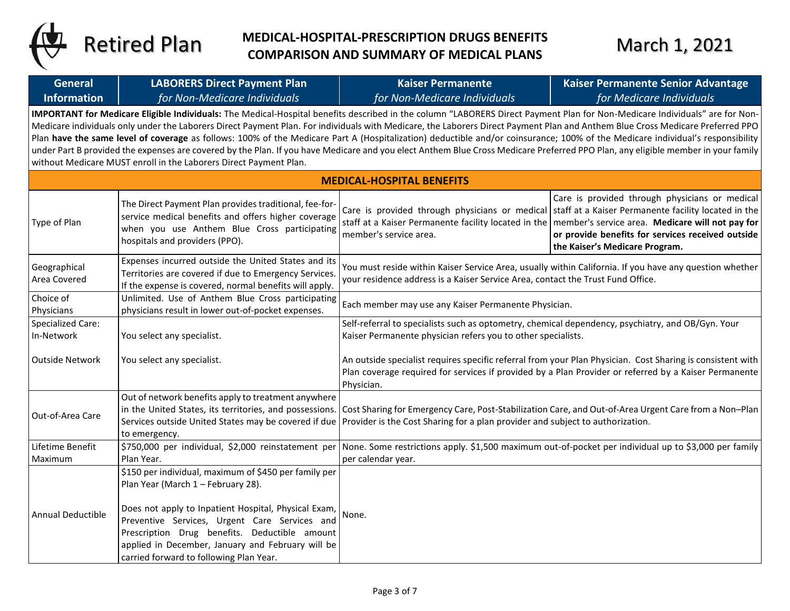

## **MEDICAL-HOSPITAL-PRESCRIPTION DRUGS BENEFITS** Retired Plan MEDICAL-HOSPITAL-PRESCRIPTION DRUGS BENEFITS March 1, 2021

| <b>General</b>                                                                                                                                                                                                                                                                                                                                                                                                                                                                                                                                                                                                                                                                                                                                                                                           | <b>LABORERS Direct Payment Plan</b>                                                                                                                                                                                                                                                                                                                   | <b>Kaiser Permanente</b>                                                                                                                                                                                                          | Kaiser Permanente Senior Advantage                                                                                                                                                                                                                                                                                                                    |  |
|----------------------------------------------------------------------------------------------------------------------------------------------------------------------------------------------------------------------------------------------------------------------------------------------------------------------------------------------------------------------------------------------------------------------------------------------------------------------------------------------------------------------------------------------------------------------------------------------------------------------------------------------------------------------------------------------------------------------------------------------------------------------------------------------------------|-------------------------------------------------------------------------------------------------------------------------------------------------------------------------------------------------------------------------------------------------------------------------------------------------------------------------------------------------------|-----------------------------------------------------------------------------------------------------------------------------------------------------------------------------------------------------------------------------------|-------------------------------------------------------------------------------------------------------------------------------------------------------------------------------------------------------------------------------------------------------------------------------------------------------------------------------------------------------|--|
| <b>Information</b>                                                                                                                                                                                                                                                                                                                                                                                                                                                                                                                                                                                                                                                                                                                                                                                       | for Non-Medicare Individuals                                                                                                                                                                                                                                                                                                                          | for Non-Medicare Individuals                                                                                                                                                                                                      | for Medicare Individuals                                                                                                                                                                                                                                                                                                                              |  |
| IMPORTANT for Medicare Eligible Individuals: The Medical-Hospital benefits described in the column "LABORERS Direct Payment Plan for Non-Medicare Individuals" are for Non-<br>Medicare individuals only under the Laborers Direct Payment Plan. For individuals with Medicare, the Laborers Direct Payment Plan and Anthem Blue Cross Medicare Preferred PPO<br>Plan have the same level of coverage as follows: 100% of the Medicare Part A (Hospitalization) deductible and/or coinsurance; 100% of the Medicare individual's responsibility<br>under Part B provided the expenses are covered by the Plan. If you have Medicare and you elect Anthem Blue Cross Medicare Preferred PPO Plan, any eligible member in your family<br>without Medicare MUST enroll in the Laborers Direct Payment Plan. |                                                                                                                                                                                                                                                                                                                                                       |                                                                                                                                                                                                                                   |                                                                                                                                                                                                                                                                                                                                                       |  |
| <b>MEDICAL-HOSPITAL BENEFITS</b>                                                                                                                                                                                                                                                                                                                                                                                                                                                                                                                                                                                                                                                                                                                                                                         |                                                                                                                                                                                                                                                                                                                                                       |                                                                                                                                                                                                                                   |                                                                                                                                                                                                                                                                                                                                                       |  |
| Type of Plan                                                                                                                                                                                                                                                                                                                                                                                                                                                                                                                                                                                                                                                                                                                                                                                             | The Direct Payment Plan provides traditional, fee-for-<br>service medical benefits and offers higher coverage<br>when you use Anthem Blue Cross participating<br>hospitals and providers (PPO).                                                                                                                                                       | member's service area.                                                                                                                                                                                                            | Care is provided through physicians or medical<br>Care is provided through physicians or medical staff at a Kaiser Permanente facility located in the<br>staff at a Kaiser Permanente facility located in the member's service area. Medicare will not pay for<br>or provide benefits for services received outside<br>the Kaiser's Medicare Program. |  |
| Geographical<br>Area Covered                                                                                                                                                                                                                                                                                                                                                                                                                                                                                                                                                                                                                                                                                                                                                                             | Expenses incurred outside the United States and its<br>Territories are covered if due to Emergency Services<br>If the expense is covered, normal benefits will apply.                                                                                                                                                                                 | You must reside within Kaiser Service Area, usually within California. If you have any question whether<br>your residence address is a Kaiser Service Area, contact the Trust Fund Office.                                        |                                                                                                                                                                                                                                                                                                                                                       |  |
| Choice of<br>Physicians                                                                                                                                                                                                                                                                                                                                                                                                                                                                                                                                                                                                                                                                                                                                                                                  | Unlimited. Use of Anthem Blue Cross participating<br>physicians result in lower out-of-pocket expenses.                                                                                                                                                                                                                                               | Each member may use any Kaiser Permanente Physician.                                                                                                                                                                              |                                                                                                                                                                                                                                                                                                                                                       |  |
| <b>Specialized Care:</b><br>In-Network                                                                                                                                                                                                                                                                                                                                                                                                                                                                                                                                                                                                                                                                                                                                                                   | You select any specialist.                                                                                                                                                                                                                                                                                                                            | Self-referral to specialists such as optometry, chemical dependency, psychiatry, and OB/Gyn. Your<br>Kaiser Permanente physician refers you to other specialists.                                                                 |                                                                                                                                                                                                                                                                                                                                                       |  |
| <b>Outside Network</b>                                                                                                                                                                                                                                                                                                                                                                                                                                                                                                                                                                                                                                                                                                                                                                                   | You select any specialist.                                                                                                                                                                                                                                                                                                                            | An outside specialist requires specific referral from your Plan Physician. Cost Sharing is consistent with<br>Plan coverage required for services if provided by a Plan Provider or referred by a Kaiser Permanente<br>Physician. |                                                                                                                                                                                                                                                                                                                                                       |  |
| Out-of-Area Care                                                                                                                                                                                                                                                                                                                                                                                                                                                                                                                                                                                                                                                                                                                                                                                         | Out of network benefits apply to treatment anywhere<br>in the United States, its territories, and possessions.<br>Services outside United States may be covered if due<br>to emergency.                                                                                                                                                               | Cost Sharing for Emergency Care, Post-Stabilization Care, and Out-of-Area Urgent Care from a Non-Plan<br>Provider is the Cost Sharing for a plan provider and subject to authorization.                                           |                                                                                                                                                                                                                                                                                                                                                       |  |
| Lifetime Benefit<br>Maximum                                                                                                                                                                                                                                                                                                                                                                                                                                                                                                                                                                                                                                                                                                                                                                              | \$750,000 per individual, \$2,000 reinstatement per<br>Plan Year.                                                                                                                                                                                                                                                                                     | per calendar year.                                                                                                                                                                                                                | None. Some restrictions apply. \$1,500 maximum out-of-pocket per individual up to \$3,000 per family                                                                                                                                                                                                                                                  |  |
| Annual Deductible                                                                                                                                                                                                                                                                                                                                                                                                                                                                                                                                                                                                                                                                                                                                                                                        | \$150 per individual, maximum of \$450 per family per<br>Plan Year (March 1 - February 28).<br>Does not apply to Inpatient Hospital, Physical Exam,<br>Preventive Services, Urgent Care Services and<br>Prescription Drug benefits. Deductible amount<br>applied in December, January and February will be<br>carried forward to following Plan Year. | None.                                                                                                                                                                                                                             |                                                                                                                                                                                                                                                                                                                                                       |  |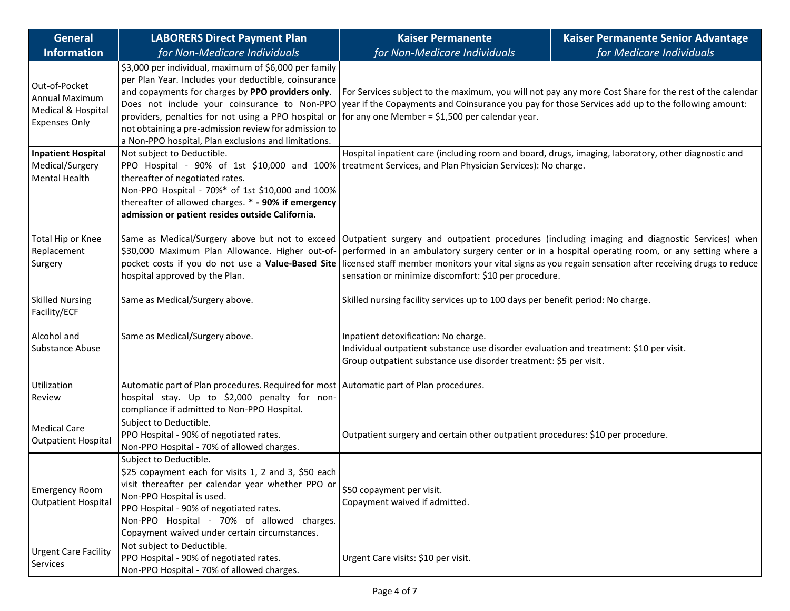| <b>General</b>                                                                | <b>LABORERS Direct Payment Plan</b>                                                                                                                                                                                                                                                                                                                                                         | <b>Kaiser Permanente</b>                                                                                                                                                                                                                                                                                                                                                                                               | Kaiser Permanente Senior Advantage |  |
|-------------------------------------------------------------------------------|---------------------------------------------------------------------------------------------------------------------------------------------------------------------------------------------------------------------------------------------------------------------------------------------------------------------------------------------------------------------------------------------|------------------------------------------------------------------------------------------------------------------------------------------------------------------------------------------------------------------------------------------------------------------------------------------------------------------------------------------------------------------------------------------------------------------------|------------------------------------|--|
| <b>Information</b>                                                            | for Non-Medicare Individuals                                                                                                                                                                                                                                                                                                                                                                | for Non-Medicare Individuals                                                                                                                                                                                                                                                                                                                                                                                           | for Medicare Individuals           |  |
| Out-of-Pocket<br>Annual Maximum<br>Medical & Hospital<br><b>Expenses Only</b> | \$3,000 per individual, maximum of \$6,000 per family<br>per Plan Year. Includes your deductible, coinsurance<br>and copayments for charges by PPO providers only.<br>Does not include your coinsurance to Non-PPO<br>providers, penalties for not using a PPO hospital or<br>not obtaining a pre-admission review for admission to<br>a Non-PPO hospital, Plan exclusions and limitations. | For Services subject to the maximum, you will not pay any more Cost Share for the rest of the calendar<br>year if the Copayments and Coinsurance you pay for those Services add up to the following amount:<br>for any one Member = $$1,500$ per calendar year.                                                                                                                                                        |                                    |  |
| <b>Inpatient Hospital</b><br>Medical/Surgery<br>Mental Health                 | Not subject to Deductible.<br>thereafter of negotiated rates.<br>Non-PPO Hospital - 70%* of 1st \$10,000 and 100%<br>thereafter of allowed charges. * - 90% if emergency<br>admission or patient resides outside California.                                                                                                                                                                | Hospital inpatient care (including room and board, drugs, imaging, laboratory, other diagnostic and<br>PPO Hospital - 90% of 1st \$10,000 and 100% treatment Services, and Plan Physician Services): No charge.                                                                                                                                                                                                        |                                    |  |
| Total Hip or Knee<br>Replacement<br>Surgery                                   | \$30,000 Maximum Plan Allowance. Higher out-of-<br>pocket costs if you do not use a Value-Based Site<br>hospital approved by the Plan.                                                                                                                                                                                                                                                      | Same as Medical/Surgery above but not to exceed Outpatient surgery and outpatient procedures (including imaging and diagnostic Services) when<br>performed in an ambulatory surgery center or in a hospital operating room, or any setting where a<br>licensed staff member monitors your vital signs as you regain sensation after receiving drugs to reduce<br>sensation or minimize discomfort: \$10 per procedure. |                                    |  |
| <b>Skilled Nursing</b><br>Facility/ECF                                        | Same as Medical/Surgery above.                                                                                                                                                                                                                                                                                                                                                              | Skilled nursing facility services up to 100 days per benefit period: No charge.                                                                                                                                                                                                                                                                                                                                        |                                    |  |
| Alcohol and<br>Substance Abuse                                                | Same as Medical/Surgery above.                                                                                                                                                                                                                                                                                                                                                              | Inpatient detoxification: No charge.<br>Individual outpatient substance use disorder evaluation and treatment: \$10 per visit.<br>Group outpatient substance use disorder treatment: \$5 per visit.                                                                                                                                                                                                                    |                                    |  |
| Utilization<br>Review                                                         | Automatic part of Plan procedures. Required for most Automatic part of Plan procedures.<br>hospital stay. Up to \$2,000 penalty for non-<br>compliance if admitted to Non-PPO Hospital.                                                                                                                                                                                                     |                                                                                                                                                                                                                                                                                                                                                                                                                        |                                    |  |
| <b>Medical Care</b><br><b>Outpatient Hospital</b>                             | Subject to Deductible.<br>PPO Hospital - 90% of negotiated rates.<br>Non-PPO Hospital - 70% of allowed charges.                                                                                                                                                                                                                                                                             | Outpatient surgery and certain other outpatient procedures: \$10 per procedure.                                                                                                                                                                                                                                                                                                                                        |                                    |  |
| <b>Emergency Room</b><br><b>Outpatient Hospital</b>                           | Subject to Deductible.<br>\$25 copayment each for visits 1, 2 and 3, \$50 each<br>visit thereafter per calendar year whether PPO or<br>Non-PPO Hospital is used.<br>PPO Hospital - 90% of negotiated rates.<br>Non-PPO Hospital - 70% of allowed charges.<br>Copayment waived under certain circumstances.                                                                                  | \$50 copayment per visit.<br>Copayment waived if admitted.                                                                                                                                                                                                                                                                                                                                                             |                                    |  |
| <b>Urgent Care Facility</b><br>Services                                       | Not subject to Deductible.<br>PPO Hospital - 90% of negotiated rates.<br>Non-PPO Hospital - 70% of allowed charges.                                                                                                                                                                                                                                                                         | Urgent Care visits: \$10 per visit.                                                                                                                                                                                                                                                                                                                                                                                    |                                    |  |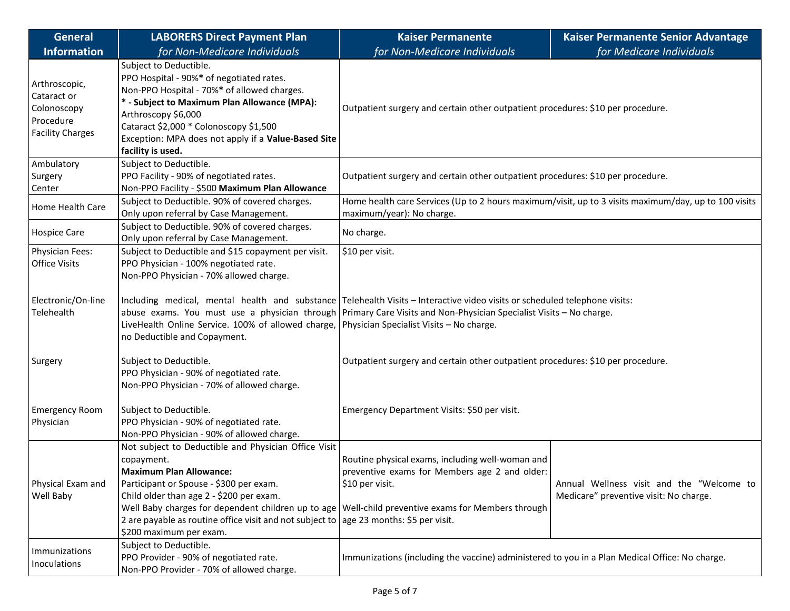| <b>General</b>                                                                      | <b>LABORERS Direct Payment Plan</b>                                                                                                                                                                                                                                                                            | <b>Kaiser Permanente</b>                                                                                                                                                                                                                         | Kaiser Permanente Senior Advantage        |  |
|-------------------------------------------------------------------------------------|----------------------------------------------------------------------------------------------------------------------------------------------------------------------------------------------------------------------------------------------------------------------------------------------------------------|--------------------------------------------------------------------------------------------------------------------------------------------------------------------------------------------------------------------------------------------------|-------------------------------------------|--|
| <b>Information</b>                                                                  | for Non-Medicare Individuals                                                                                                                                                                                                                                                                                   | for Non-Medicare Individuals                                                                                                                                                                                                                     | for Medicare Individuals                  |  |
| Arthroscopic,<br>Cataract or<br>Colonoscopy<br>Procedure<br><b>Facility Charges</b> | Subject to Deductible.<br>PPO Hospital - 90%* of negotiated rates.<br>Non-PPO Hospital - 70%* of allowed charges.<br>* - Subject to Maximum Plan Allowance (MPA):<br>Arthroscopy \$6,000<br>Cataract \$2,000 * Colonoscopy \$1,500<br>Exception: MPA does not apply if a Value-Based Site<br>facility is used. | Outpatient surgery and certain other outpatient procedures: \$10 per procedure.                                                                                                                                                                  |                                           |  |
| Ambulatory<br>Surgery<br>Center                                                     | Subject to Deductible.<br>PPO Facility - 90% of negotiated rates.<br>Non-PPO Facility - \$500 Maximum Plan Allowance                                                                                                                                                                                           | Outpatient surgery and certain other outpatient procedures: \$10 per procedure.                                                                                                                                                                  |                                           |  |
| Home Health Care                                                                    | Subject to Deductible. 90% of covered charges.<br>Only upon referral by Case Management.                                                                                                                                                                                                                       | Home health care Services (Up to 2 hours maximum/visit, up to 3 visits maximum/day, up to 100 visits<br>maximum/year): No charge.                                                                                                                |                                           |  |
| <b>Hospice Care</b>                                                                 | Subject to Deductible. 90% of covered charges.<br>Only upon referral by Case Management.                                                                                                                                                                                                                       | No charge.                                                                                                                                                                                                                                       |                                           |  |
| Physician Fees:<br><b>Office Visits</b>                                             | Subject to Deductible and \$15 copayment per visit.<br>PPO Physician - 100% negotiated rate.<br>Non-PPO Physician - 70% allowed charge.                                                                                                                                                                        | \$10 per visit.                                                                                                                                                                                                                                  |                                           |  |
| Electronic/On-line<br>Telehealth                                                    | LiveHealth Online Service. 100% of allowed charge, Physician Specialist Visits - No charge.<br>no Deductible and Copayment.                                                                                                                                                                                    | Including medical, mental health and substance Telehealth Visits – Interactive video visits or scheduled telephone visits:<br>abuse exams. You must use a physician through Primary Care Visits and Non-Physician Specialist Visits – No charge. |                                           |  |
| Surgery                                                                             | Subject to Deductible.<br>PPO Physician - 90% of negotiated rate.<br>Non-PPO Physician - 70% of allowed charge.                                                                                                                                                                                                | Outpatient surgery and certain other outpatient procedures: \$10 per procedure.                                                                                                                                                                  |                                           |  |
| <b>Emergency Room</b><br>Physician                                                  | Subject to Deductible.<br>PPO Physician - 90% of negotiated rate.<br>Non-PPO Physician - 90% of allowed charge.                                                                                                                                                                                                | Emergency Department Visits: \$50 per visit.                                                                                                                                                                                                     |                                           |  |
| Physical Exam and                                                                   | Not subject to Deductible and Physician Office Visit<br>copayment.<br><b>Maximum Plan Allowance:</b><br>Participant or Spouse - \$300 per exam.                                                                                                                                                                | Routine physical exams, including well-woman and<br>preventive exams for Members age 2 and older:<br>\$10 per visit.                                                                                                                             | Annual Wellness visit and the "Welcome to |  |
| Well Baby                                                                           | Child older than age 2 - \$200 per exam.<br>Well Baby charges for dependent children up to age<br>2 are payable as routine office visit and not subject to<br>\$200 maximum per exam.                                                                                                                          | Well-child preventive exams for Members through<br>age 23 months: \$5 per visit.                                                                                                                                                                 | Medicare" preventive visit: No charge.    |  |
| Immunizations<br>Inoculations                                                       | Subject to Deductible.<br>PPO Provider - 90% of negotiated rate.<br>Non-PPO Provider - 70% of allowed charge.                                                                                                                                                                                                  | Immunizations (including the vaccine) administered to you in a Plan Medical Office: No charge.                                                                                                                                                   |                                           |  |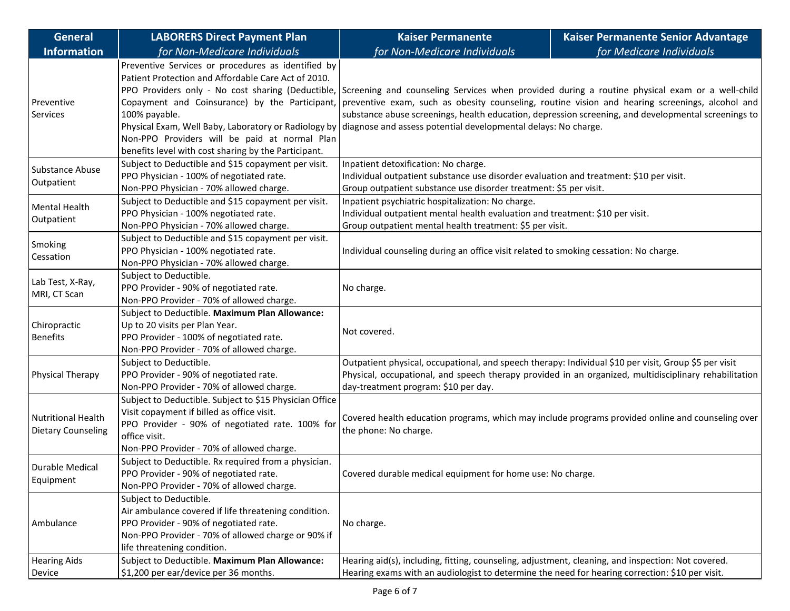| <b>General</b>                                         | <b>LABORERS Direct Payment Plan</b>                                                                                                                                                                                                                                                                                                                                                                | <b>Kaiser Permanente</b>                                                                                                                                                                                                                                                                                                                                                   | <b>Kaiser Permanente Senior Advantage</b> |  |
|--------------------------------------------------------|----------------------------------------------------------------------------------------------------------------------------------------------------------------------------------------------------------------------------------------------------------------------------------------------------------------------------------------------------------------------------------------------------|----------------------------------------------------------------------------------------------------------------------------------------------------------------------------------------------------------------------------------------------------------------------------------------------------------------------------------------------------------------------------|-------------------------------------------|--|
| <b>Information</b>                                     | for Non-Medicare Individuals                                                                                                                                                                                                                                                                                                                                                                       | for Non-Medicare Individuals                                                                                                                                                                                                                                                                                                                                               | for Medicare Individuals                  |  |
| Preventive<br>Services                                 | Preventive Services or procedures as identified by<br>Patient Protection and Affordable Care Act of 2010.<br>PPO Providers only - No cost sharing (Deductible,<br>Copayment and Coinsurance) by the Participant,<br>100% payable.<br>Physical Exam, Well Baby, Laboratory or Radiology by<br>Non-PPO Providers will be paid at normal Plan<br>benefits level with cost sharing by the Participant. | Screening and counseling Services when provided during a routine physical exam or a well-child<br>preventive exam, such as obesity counseling, routine vision and hearing screenings, alcohol and<br>substance abuse screenings, health education, depression screening, and developmental screenings to<br>diagnose and assess potential developmental delays: No charge. |                                           |  |
| Substance Abuse<br>Outpatient                          | Subject to Deductible and \$15 copayment per visit.<br>PPO Physician - 100% of negotiated rate.<br>Non-PPO Physician - 70% allowed charge.                                                                                                                                                                                                                                                         | Inpatient detoxification: No charge.<br>Individual outpatient substance use disorder evaluation and treatment: \$10 per visit.<br>Group outpatient substance use disorder treatment: \$5 per visit.                                                                                                                                                                        |                                           |  |
| Mental Health<br>Outpatient                            | Subject to Deductible and \$15 copayment per visit.<br>PPO Physician - 100% negotiated rate.<br>Non-PPO Physician - 70% allowed charge.                                                                                                                                                                                                                                                            | Inpatient psychiatric hospitalization: No charge.<br>Individual outpatient mental health evaluation and treatment: \$10 per visit.<br>Group outpatient mental health treatment: \$5 per visit.                                                                                                                                                                             |                                           |  |
| Smoking<br>Cessation                                   | Subject to Deductible and \$15 copayment per visit.<br>PPO Physician - 100% negotiated rate.<br>Non-PPO Physician - 70% allowed charge.                                                                                                                                                                                                                                                            | Individual counseling during an office visit related to smoking cessation: No charge.                                                                                                                                                                                                                                                                                      |                                           |  |
| Lab Test, X-Ray,<br>MRI, CT Scan                       | Subject to Deductible.<br>PPO Provider - 90% of negotiated rate.<br>Non-PPO Provider - 70% of allowed charge.                                                                                                                                                                                                                                                                                      | No charge.                                                                                                                                                                                                                                                                                                                                                                 |                                           |  |
| Chiropractic<br><b>Benefits</b>                        | Subject to Deductible. Maximum Plan Allowance:<br>Up to 20 visits per Plan Year.<br>PPO Provider - 100% of negotiated rate.<br>Non-PPO Provider - 70% of allowed charge.                                                                                                                                                                                                                           | Not covered.                                                                                                                                                                                                                                                                                                                                                               |                                           |  |
| Physical Therapy                                       | Subject to Deductible.<br>PPO Provider - 90% of negotiated rate.<br>Non-PPO Provider - 70% of allowed charge.                                                                                                                                                                                                                                                                                      | Outpatient physical, occupational, and speech therapy: Individual \$10 per visit, Group \$5 per visit<br>Physical, occupational, and speech therapy provided in an organized, multidisciplinary rehabilitation<br>day-treatment program: \$10 per day.                                                                                                                     |                                           |  |
| <b>Nutritional Health</b><br><b>Dietary Counseling</b> | Subject to Deductible. Subject to \$15 Physician Office<br>Visit copayment if billed as office visit.<br>PPO Provider - 90% of negotiated rate. 100% for<br>office visit.<br>Non-PPO Provider - 70% of allowed charge.                                                                                                                                                                             | Covered health education programs, which may include programs provided online and counseling over<br>the phone: No charge.                                                                                                                                                                                                                                                 |                                           |  |
| Durable Medical<br>Equipment                           | Subject to Deductible. Rx required from a physician.<br>PPO Provider - 90% of negotiated rate.<br>Non-PPO Provider - 70% of allowed charge.                                                                                                                                                                                                                                                        | Covered durable medical equipment for home use: No charge.                                                                                                                                                                                                                                                                                                                 |                                           |  |
| Ambulance                                              | Subject to Deductible.<br>Air ambulance covered if life threatening condition.<br>PPO Provider - 90% of negotiated rate.<br>Non-PPO Provider - 70% of allowed charge or 90% if<br>life threatening condition.                                                                                                                                                                                      | No charge.                                                                                                                                                                                                                                                                                                                                                                 |                                           |  |
| <b>Hearing Aids</b><br>Device                          | Subject to Deductible. Maximum Plan Allowance:<br>\$1,200 per ear/device per 36 months.                                                                                                                                                                                                                                                                                                            | Hearing aid(s), including, fitting, counseling, adjustment, cleaning, and inspection: Not covered.<br>Hearing exams with an audiologist to determine the need for hearing correction: \$10 per visit.                                                                                                                                                                      |                                           |  |